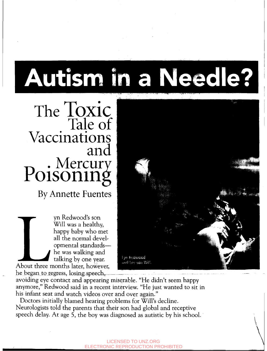# Autism in a Needle?

 $\text{The }$   $\text{LOXIC}$ Tale of Vaccinations and Poisoning

By Annette Fuentes

yn Redwood's son Will was a healthy, happy baby who met all the normal developmental srandardshe was walking and talking by one year.<br>About three months later, however,

happy baby who met<br>
all the normal devel-<br>
opmental standards—<br>
he was walking and<br>
talking by one year.<br>
About three months later, however,<br>
he began to regress, losing speech,<br>
avoiding eye contact and appearing miserabl

anymore," Redwood said in a recent interview. "He just wanted to sit in his infant seat and watch videos over and over again."

Neurologists told the parents that their son had global and receptive speech delay. At age 5, the boy was diagnosed as autistic by his school. Doctors initially blamed hearing problems for Will's decline.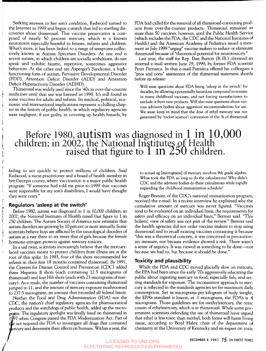Seeking answers to her son's condition, Redwood turned to the Internet in 1999 and began a search that led to startling discoveries about thimerosal. This vaccine preservative is composed of nearly 50 percent mercury, which is a known neurotoxin especially harmful to. fetuses, infants and children. What's more, it has been linked to a range of symptoms collectively known as Autism Spectrum Disorders. At one end is severe autism, in which children are socially withdrawn, do not speak and exhibit bizarre, repetitive, sometimes aggressive behaviors. At the other end are Asperger's Syndrome, a highfunctioning form of autism, Pervasive Developmental Disorder (PDD), Attention Deficit Disorder (ADD) and Attention Deficit Hyperactivity Disorder (ADHD).

Ĵ

 $\frac{1}{2}$ 

منقصدات المستحث

Thimerosal was widely used since the '40s in over-the-counter medicines until that use was banned in 1998. It's still found in some vaccines for adults and infants. Its medical, political, economic and international implications represent a chilling chapter in the history of public health, in which regulatory agencies FDA had called for the removal of all thimerosal-containing products from over-the-counter products. Thimerosal remained in more than 50 vaccines, however, until the Public Health Service (which includes the FDA, the CDC and the National Institutes of Health) and the American Academy of Pediatrics issued a statement in July 1999 "urging" vaccine makers to reduce or eliminate thimerosal because of "theoretical potential for neurotoxicity."

Last year, the staff for Rep. Dan Burton (R-Ill.) obtained an internal e-mail written June 29, 1999, by former FDA scientist Peter Patriarca. In that e-mail Patriarca offered his colleagues a "pros and cons" assessment of the thimerosal statement shortly before its release:

Will raise questions about FDA being 'asleep at the switch' for decades, by allowing a potentially hazardous compound to remain in many childhood vaccines, and not forcing manufacturers to exclude it from new products. Will also raise questions about various advisory bodies about aggressive recommendations for use. We must keep in mind that the dose of ethyl mercury was not were negligent, if not guilty, in covering up health hazards, by generated by 'rocket science': conversion of the % of thimerosal

# Before 1980, autism was diagnosed in 1 in 10,000<br>children; in 2002, the National Institutes of Health  $\frac{1}{1002}$ , the inational mistrices of Fieaturen.

failing to act quickly to protect millions of children. Said Redwood, a nurse practitioner and a board of health member in her Georgia county, where vaccination is a major public health program: "If someone had told me prior to 1999 that vaccines were responsible for my son's disabilities, I would have thought they were crazy."

## **Regulators 'asleep at the switch'**

Before 1980, autism was diagnosed in 1 in 10,000 children; in 2002, the National Institutes of Health raised that figure to 1 in 250 children. The Autism Society of America now estimates that autism disorders are growing by 10 percent or more annually. Some scientists believe boys are afflicted by the neurological disorders of autism at a rate three to six times that of girls because the female hormone estrogen protects against mercury toxicity.

In a sad twist, scientists increasingly believe that the mercurylaced vaccines meant to protect children from illness are at the root of this spike. In 1985, four of the shots recommended for infants in their first 18 months contained thimerosal. By 1991, the Centers for Disease Control and Prevention (CDC) added three Hepatitis B shots (each containing 12.5 micrograms of thimerosal) and four Hib shots (each with 25 micrograms of mercury). As a result, the number of vaccines containing thimerosal jumped to 11, and the amount of mercury exposure mushroomed to 237.5 micrograms, an amount that exceeded all federal limits.

Neither the Food and Drug Administration (FDA) nor the CDC, the nation's chief regulatory agencies for pharmaceutical products and the watchdogs of public health, added up the micro grams. The regulatory spotlight was finally fixed on thimerosal in 1997 when Congress passed the FDA Modernization Act. Part of act required the FDA to investigate all drugs that contained cury and determine their effects on humans. Within a year, the to actual ug (micrograms] of mercury involves 9th grade algebra. What took the FDA so long to do the calculations? Why didn't **CDC** and the advisory bodies do these calculations while rapidly expanding the childhood immunization schedule?

Roger Bernier, of the CDC's national immunization program, received the e-mail. In a recent interview he explained why the cumulative amount of mercury was never figured. "Vaccines tend to be evaluated on an individual basis, the requirements for safety and efficacy on an individual basis," Bernier said. "This holistic view of safety was not part of the review." Bernier said the health agencies did not order vaccine makers to stop using thimerosal and to recall existing vaccines containing it because "this was a theoretical concern, it was conceived as precautionary measure, not because evidence showed a risk. There wasn't a sense of urgency. It was viewed as something to be done—not because we had to, but because it should be done."

## **Toxicity and plausibility**

While the FDA and CDC moved glacially slow on mercury, the EPA had been since the early '70s aggressively educating the public about ingesting mercury in food, especially fish, and setting standards for exposure. The inconsistent approach to mercury is reflected in the standards agencies set for maximum daily consumption. Set in micrograms per kilogram of body weight, the EPA's standard is lowest, at .1 micrograms, the FDA's is .4 micrograms. Those guidelines are for methylmercury, the toxic cousin of ethylmercury, which is in thimerosal. While some government scientists defending the use of thimerosal have argued that ethyl is less toxic than methyl, both forms will harm living tissue, according to Boyd Haley, chair of the department of chemistry at the University of Kentucky and an expert on toxic

# **DECEMBER 8. 2003** *15* **IN THESE TIMES** LICENSED TO UNZ.ORG ELECTRONIC REPRODUCTION PROHIBITED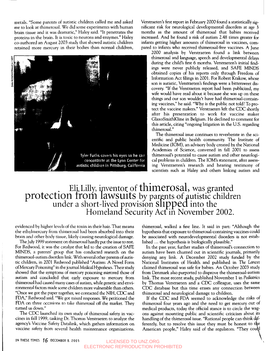metals. "Some parents of autistic children called me and asked me to look at thimerosal. We did some experiments with human brain tissue and it was dramatic," Haley said. "It penetrates the proteins in the brain. It is toxic to neurons and enzymes." Haley co-authored an August 2003 study that showed autistic children retained more mercury in their bodies than normal children,



Verstraeten's first report in February 2000 found a statistically significant risk for neurological developmental disorders at age 3 months as the amount of thimerosal that babies received increased. And he found a risk of autism 2.48 times greater for infants getting higher amounts of thimerosal in vaccines, compared to infants who received thimerosal-free vaccines. A June

2000 analysis by Verstraeten found a link between thimerosal and language, speech and developmental delays during the child's first *6* months. Verstraeten's initial findings were never publicly released, and SAFE MINDS obtained copies of his reports only through Freedom of Information Act filings in 2001. For Robert Krakow, whose son is autistic, Verstraeten's findings were a bittersweet discovery. "If the Verstraeten report had been publicized, my wife would have read about it because she was up on these things and our son wouldn't have had thimerosal-containing vaccines," he said. "Why is the public not told? To protect the vaccine makers." Verstraeten left the CDC shortly after his presentation to work for vaccine maker GlaxoSmithKline in Belgium. He declined to comment for this article, citing "ongoing litigation in the U.S. regarding thimerosal."

The thimerosal issue continues to reverberate in the scientific and public health community. The Institute of Medicine (IOM), an advisory body created by the National Academies of Science, convened in fall 2001 to assess thimerosal's potential to cause autism and other neurological problems in children. The IOM's statement, after assessing Verstraeten's research and hearing testimony of scientists such as Haley and others linking autism and

# Eli Lilly, inventor of thimerosal, was granted Homeland Security Act in November 2002. protection from lawsuits by parents of autistic children under a short-lived provision slipped into the

evidenced by higher levels of the toxin in their hair. That means the ethylmercury from thimerosal had been absorbed into their brain and other body tissue, likely causing neurological damage.

The July 1999 statement on thimerosal hardly put the issue to rest. For Redwood, it was the catalyst that led to the creation of SAFE MINDS, a parents' group that has conducted research on the thimerosal-autism disorders link. With several other parents of autistic children, in 2001 Redwood published "Autism: A Novel Form of Mercury Poisoning" in the journal Medical Hypotheses. Their study showed that the symptoms of mercury poisoning mirrored those of autism and concluded that early exposure to mercury from thimerosal had caused many cases of autism, while genetic and environmental factors made some children more vulnerable than others. "Once we got the paper together, we contacted the NIH, CDC and FDA," Redwood said. "We got mixed responses. We petitioned the FDA on three occasions to take thimerosal off the market. They turned us down."

The CDC launched its own study of thimerosal safety in vaccines in fall 1999, tasking Dr. Thomas Verstraeten to analyze the agency's Vaccine Safety Datalink, which gathers information on vaccine safety from several health maintenance organizations. thimerosal, walked a fine line. It said in part: "Although the hypothesis that exposure to thimerosal-containing vaccines could be associated with neurodevelopmental disorders is not established ... the hypothesis is biologically plausible."

In the past year, further studies of thimerosal's connection to autism have been churned out in scientific journals, primarily denying any link. A December 2002 study funded by the National Institutes of Health and published in The Lancet claimed thimerosal was safe for babies. An October 2003 study from Denmark also purported to disprove the thimerosal-autism link. The most recent study, published November 1 in Pediatrics by Thomas Verstraeten and a CDC colleague, uses the same CDC database but this time erases any connection between thimerosal and neurological damage to children.

If the CDC and FDA seemed to acknowledge the risks of thimerosal four years ago and the need to get mercury Out of medical products, today the official stance is to circle the wagons against mounting public and scientific criticism about its handling of the thimerosal issue. "Rational people can think djfferently, but to resolve this issue they must be honest to the American people," Haley said of the regulators. "They could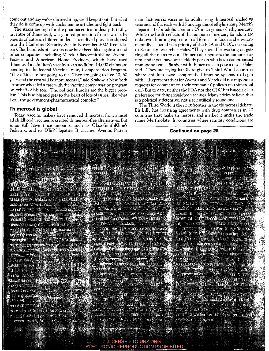come out and say we've cleaned it up, we'll keep it out. But what they do is come up with cockamamie articles and fight back."

The stakes are high for the pharmaceutical industry. Eli Lilly, inventor of thimerosal, was granted protection from lawsuits by parents of autistic children under a short-lived provision slipped into the Homeland Security Act in November 2002 (see sidebar). But hundreds of lawsuits now have been filed against it and other companies, including Merck, GlaxoSmithKline, Aventis Pasteur and American Home Products, which have used thimerosal in children's vaccines. An additional 4,000 claims are pending in the federal Vaccine Injury Compensation Program. "These kids are not going to die. They are going to live 50, 60 years and the cost will be monumental," said Krakow, a New York attorney who filed a case with the vaccine compensation program on behalf of his son. "The political hurdles are the bigger problem. This is SO big and gets to the heart of lots of issues, like what I call the government-pharmaceutical complex."

## **Thimerosal is global**

Today, vaccine makers have removed thimerosal from almost all childhood vaccines or created thimerosal-free alternatives. But some still have trace amounts, such as GlaxoSmithKline's Pediatrix, and its DTaP-Hepatitis B vaccine. Aventis Pasteur

manufactures six vaccines for adults using thimerosal, including tetanus and flu, each with 25 micrograms of ethylmercury. Merck's Hepatitis B for adults contains *25* micrograms of ethylmercury. While the health effects of that amount of mercury for adults are unknown, limiting exposure in all forms-in foods and environmentally-should be a priority of the FDA and CDC, according to Kentucky researcher Haley. "They should be working on getting all the mercury out. Thimerosal suppresses the immune system, and if you have some elderly person who has a compromised immune system, a flu shot with thimerosal can pose a risk," Haley said. "They are saying its OK to give to Third World countries where children have compromised immune systems to begin with." (Representatives for Aventis and Merck did not respond to requests for comment on their companies' policies on thimerosal use.) But to date, neither the FDA nor the CDC has issued a clear preference for thimerosal-free vaccines. Many critics believe that is a politically defensive, not a scientifically sound one.

The Third World is the next frontier in the thimerosal debate. Eli Lilly has licensing agreements with drug companies in 40 countries that make thimerosal and market it under the trade name Merthiolate. In countries where sanitary conditions are

**Continued on page 28** 



#### LICENSED TO UNZ.ORG ELECTRONIC REPRODUCTION PROHIBITED